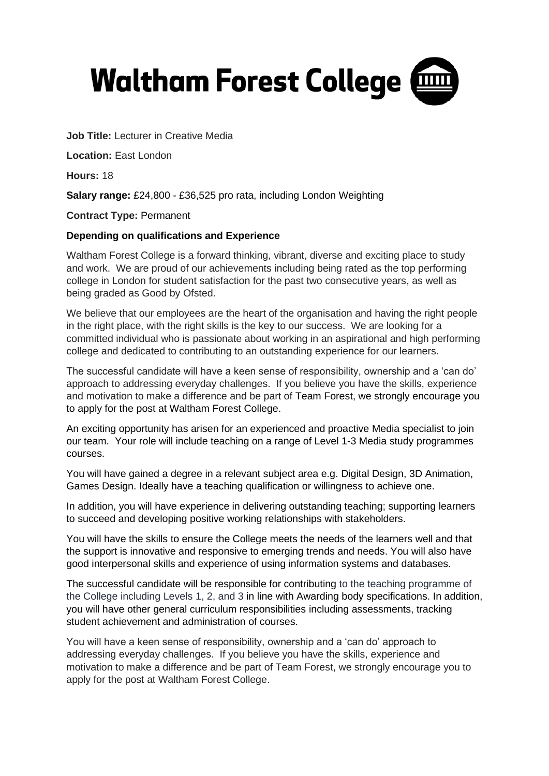# **Waltham Forest College @**

**Job Title:** Lecturer in Creative Media

**Location:** East London

**Hours:** 18

**Salary range:** £24,800 - £36,525 pro rata, including London Weighting

**Contract Type:** Permanent

#### **Depending on qualifications and Experience**

Waltham Forest College is a forward thinking, vibrant, diverse and exciting place to study and work. We are proud of our achievements including being rated as the top performing college in London for student satisfaction for the past two consecutive years, as well as being graded as Good by Ofsted.

We believe that our employees are the heart of the organisation and having the right people in the right place, with the right skills is the key to our success. We are looking for a committed individual who is passionate about working in an aspirational and high performing college and dedicated to contributing to an outstanding experience for our learners.

The successful candidate will have a keen sense of responsibility, ownership and a 'can do' approach to addressing everyday challenges. If you believe you have the skills, experience and motivation to make a difference and be part of Team Forest, we strongly encourage you to apply for the post at Waltham Forest College.

An exciting opportunity has arisen for an experienced and proactive Media specialist to join our team. Your role will include teaching on a range of Level 1-3 Media study programmes courses.

You will have gained a degree in a relevant subject area e.g. Digital Design, 3D Animation, Games Design. Ideally have a teaching qualification or willingness to achieve one.

In addition, you will have experience in delivering outstanding teaching; supporting learners to succeed and developing positive working relationships with stakeholders.

You will have the skills to ensure the College meets the needs of the learners well and that the support is innovative and responsive to emerging trends and needs. You will also have good interpersonal skills and experience of using information systems and databases.

The successful candidate will be responsible for contributing to the teaching programme of the College including Levels 1, 2, and 3 in line with Awarding body specifications. In addition, you will have other general curriculum responsibilities including assessments, tracking student achievement and administration of courses.

You will have a keen sense of responsibility, ownership and a 'can do' approach to addressing everyday challenges. If you believe you have the skills, experience and motivation to make a difference and be part of Team Forest, we strongly encourage you to apply for the post at Waltham Forest College.